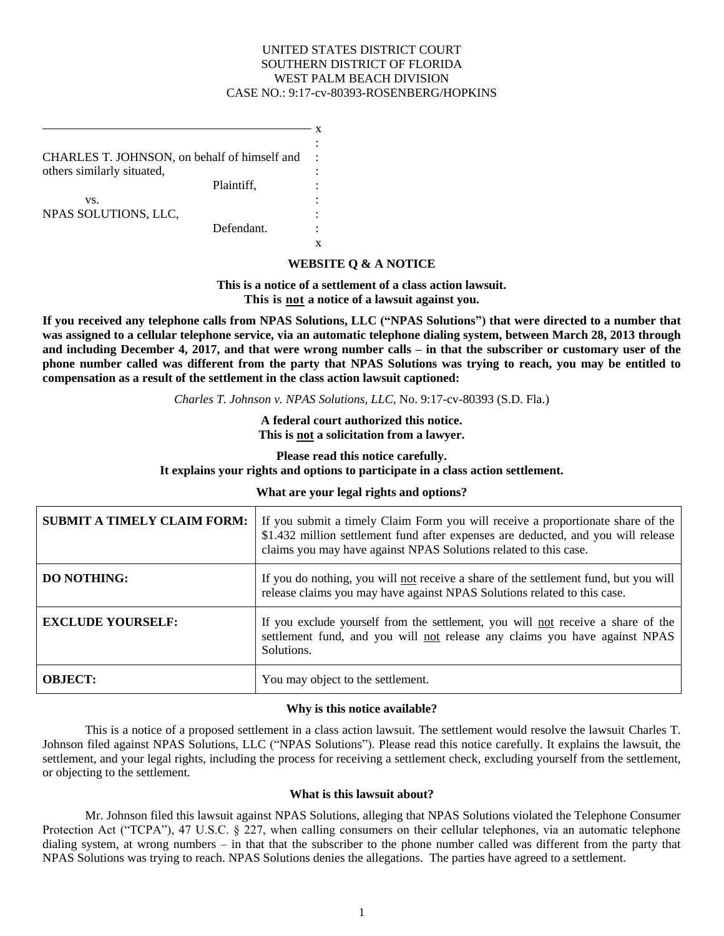## UNITED STATES DISTRICT COURT SOUTHERN DISTRICT OF FLORIDA WEST PALM BEACH DIVISION CASE NO.: 9:17-cv-80393-ROSENBERG/HOPKINS

CHARLES T. JOHNSON, on behalf of himself and others similarly situated,

> Plaintiff, vs.

NPAS SOLUTIONS, LLC,

Defendant.

: x

x

: : : : : :

# **WEBSITE Q & A NOTICE**

**This is a notice of a settlement of a class action lawsuit. This is not a notice of a lawsuit against you.** 

**If you received any telephone calls from NPAS Solutions, LLC ("NPAS Solutions") that were directed to a number that was assigned to a cellular telephone service, via an automatic telephone dialing system, between March 28, 2013 through and including December 4, 2017, and that were wrong number calls – in that the subscriber or customary user of the phone number called was different from the party that NPAS Solutions was trying to reach, you may be entitled to compensation as a result of the settlement in the class action lawsuit captioned:**

*Charles T. Johnson v. NPAS Solutions, LLC*, No. 9:17-cv-80393 (S.D. Fla.)

**A federal court authorized this notice. This is not a solicitation from a lawyer.**

**Please read this notice carefully. It explains your rights and options to participate in a class action settlement.**

### **What are your legal rights and options?**

| <b>SUBMIT A TIMELY CLAIM FORM:</b> | If you submit a timely Claim Form you will receive a proportionate share of the<br>\$1.432 million settlement fund after expenses are deducted, and you will release<br>claims you may have against NPAS Solutions related to this case. |  |
|------------------------------------|------------------------------------------------------------------------------------------------------------------------------------------------------------------------------------------------------------------------------------------|--|
| <b>DO NOTHING:</b>                 | If you do nothing, you will not receive a share of the settlement fund, but you will<br>release claims you may have against NPAS Solutions related to this case.                                                                         |  |
| <b>EXCLUDE YOURSELF:</b>           | If you exclude yourself from the settlement, you will not receive a share of the<br>settlement fund, and you will not release any claims you have against NPAS<br>Solutions.                                                             |  |
| <b>OBJECT:</b>                     | You may object to the settlement.                                                                                                                                                                                                        |  |

### **Why is this notice available?**

This is a notice of a proposed settlement in a class action lawsuit. The settlement would resolve the lawsuit Charles T. Johnson filed against NPAS Solutions, LLC ("NPAS Solutions"). Please read this notice carefully. It explains the lawsuit, the settlement, and your legal rights, including the process for receiving a settlement check, excluding yourself from the settlement, or objecting to the settlement.

### **What is this lawsuit about?**

Mr. Johnson filed this lawsuit against NPAS Solutions, alleging that NPAS Solutions violated the Telephone Consumer Protection Act ("TCPA"), 47 U.S.C. § 227, when calling consumers on their cellular telephones, via an automatic telephone dialing system, at wrong numbers – in that that the subscriber to the phone number called was different from the party that NPAS Solutions was trying to reach. NPAS Solutions denies the allegations. The parties have agreed to a settlement.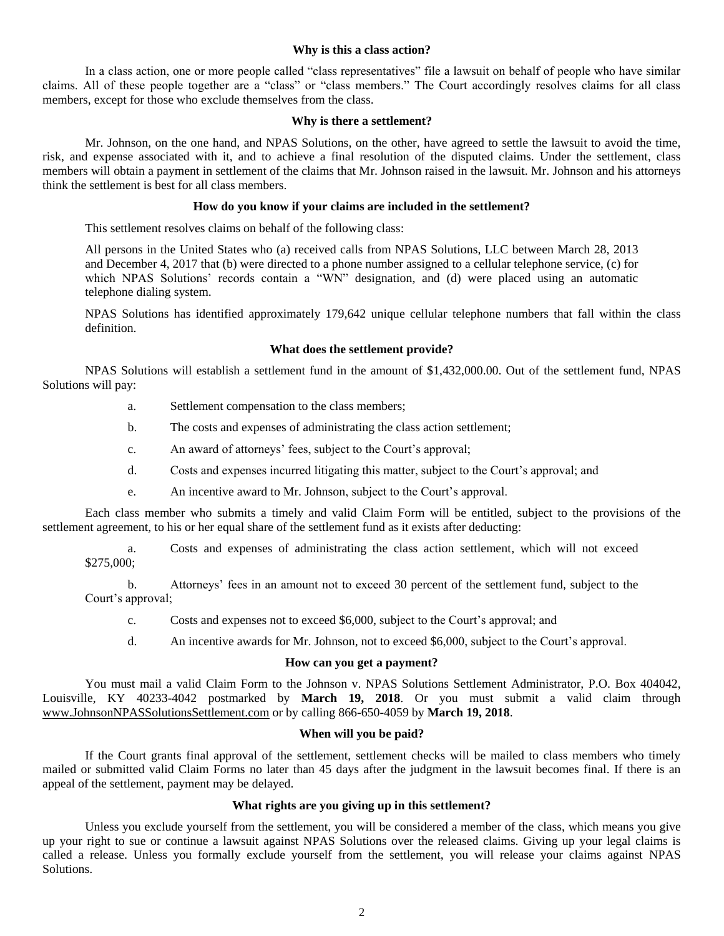### **Why is this a class action?**

In a class action, one or more people called "class representatives" file a lawsuit on behalf of people who have similar claims. All of these people together are a "class" or "class members." The Court accordingly resolves claims for all class members, except for those who exclude themselves from the class.

### **Why is there a settlement?**

Mr. Johnson, on the one hand, and NPAS Solutions, on the other, have agreed to settle the lawsuit to avoid the time, risk, and expense associated with it, and to achieve a final resolution of the disputed claims. Under the settlement, class members will obtain a payment in settlement of the claims that Mr. Johnson raised in the lawsuit. Mr. Johnson and his attorneys think the settlement is best for all class members.

### **How do you know if your claims are included in the settlement?**

This settlement resolves claims on behalf of the following class:

All persons in the United States who (a) received calls from NPAS Solutions, LLC between March 28, 2013 and December 4, 2017 that (b) were directed to a phone number assigned to a cellular telephone service, (c) for which NPAS Solutions' records contain a "WN" designation, and (d) were placed using an automatic telephone dialing system.

NPAS Solutions has identified approximately 179,642 unique cellular telephone numbers that fall within the class definition.

### **What does the settlement provide?**

NPAS Solutions will establish a settlement fund in the amount of \$1,432,000.00. Out of the settlement fund, NPAS Solutions will pay:

- a. Settlement compensation to the class members;
- b. The costs and expenses of administrating the class action settlement;
- c. An award of attorneys' fees, subject to the Court's approval;
- d. Costs and expenses incurred litigating this matter, subject to the Court's approval; and
- e. An incentive award to Mr. Johnson, subject to the Court's approval.

Each class member who submits a timely and valid Claim Form will be entitled, subject to the provisions of the settlement agreement, to his or her equal share of the settlement fund as it exists after deducting:

a. Costs and expenses of administrating the class action settlement, which will not exceed \$275,000;

b. Attorneys' fees in an amount not to exceed 30 percent of the settlement fund, subject to the Court's approval;

- c. Costs and expenses not to exceed \$6,000, subject to the Court's approval; and
- d. An incentive awards for Mr. Johnson, not to exceed \$6,000, subject to the Court's approval.

### **How can you get a payment?**

You must mail a valid Claim Form to the Johnson v. NPAS Solutions Settlement Administrator, P.O. Box 404042, Louisville, KY 40233-4042 postmarked by **March 19, 2018**. Or you must submit a valid claim through www.JohnsonNPASSolutionsSettlement.com or by calling 866-650-4059 by **March 19, 2018**.

# **When will you be paid?**

If the Court grants final approval of the settlement, settlement checks will be mailed to class members who timely mailed or submitted valid Claim Forms no later than 45 days after the judgment in the lawsuit becomes final. If there is an appeal of the settlement, payment may be delayed.

## **What rights are you giving up in this settlement?**

Unless you exclude yourself from the settlement, you will be considered a member of the class, which means you give up your right to sue or continue a lawsuit against NPAS Solutions over the released claims. Giving up your legal claims is called a release. Unless you formally exclude yourself from the settlement, you will release your claims against NPAS Solutions.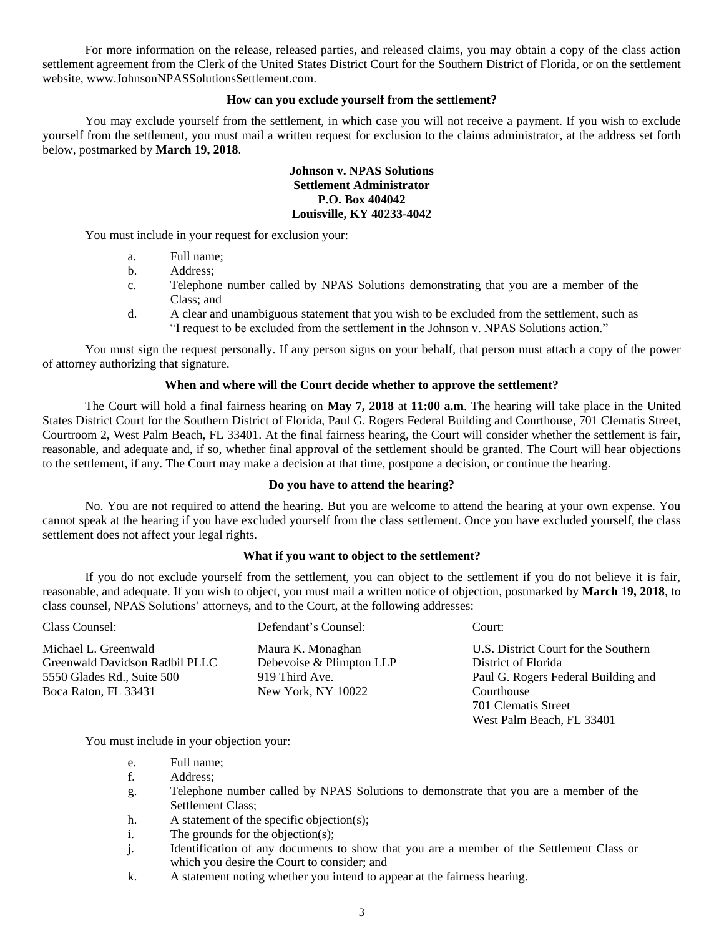For more information on the release, released parties, and released claims, you may obtain a copy of the class action settlement agreement from the Clerk of the United States District Court for the Southern District of Florida, or on the settlement website, www.JohnsonNPASSolutionsSettlement.com.

### **How can you exclude yourself from the settlement?**

You may exclude yourself from the settlement, in which case you will not receive a payment. If you wish to exclude yourself from the settlement, you must mail a written request for exclusion to the claims administrator, at the address set forth below, postmarked by **March 19, 2018**.

### **Johnson v. NPAS Solutions Settlement Administrator P.O. Box 404042 Louisville, KY 40233-4042**

You must include in your request for exclusion your:

- a. Full name;
- b. Address;
- c. Telephone number called by NPAS Solutions demonstrating that you are a member of the Class; and
- d. A clear and unambiguous statement that you wish to be excluded from the settlement, such as "I request to be excluded from the settlement in the Johnson v. NPAS Solutions action."

You must sign the request personally. If any person signs on your behalf, that person must attach a copy of the power of attorney authorizing that signature.

### **When and where will the Court decide whether to approve the settlement?**

The Court will hold a final fairness hearing on **May 7, 2018** at **11:00 a.m**. The hearing will take place in the United States District Court for the Southern District of Florida, Paul G. Rogers Federal Building and Courthouse, 701 Clematis Street, Courtroom 2, West Palm Beach, FL 33401. At the final fairness hearing, the Court will consider whether the settlement is fair, reasonable, and adequate and, if so, whether final approval of the settlement should be granted. The Court will hear objections to the settlement, if any. The Court may make a decision at that time, postpone a decision, or continue the hearing.

#### **Do you have to attend the hearing?**

No. You are not required to attend the hearing. But you are welcome to attend the hearing at your own expense. You cannot speak at the hearing if you have excluded yourself from the class settlement. Once you have excluded yourself, the class settlement does not affect your legal rights.

### **What if you want to object to the settlement?**

If you do not exclude yourself from the settlement, you can object to the settlement if you do not believe it is fair, reasonable, and adequate. If you wish to object, you must mail a written notice of objection, postmarked by **March 19, 2018**, to class counsel, NPAS Solutions' attorneys, and to the Court, at the following addresses:

| Class Counsel:                 | Defendant's Counsel:     | Court:                               |
|--------------------------------|--------------------------|--------------------------------------|
| Michael L. Greenwald           | Maura K. Monaghan        | U.S. District Court for the Southern |
| Greenwald Davidson Radbil PLLC | Debevoise & Plimpton LLP | District of Florida                  |
| 5550 Glades Rd., Suite 500     | 919 Third Ave.           | Paul G. Rogers Federal Building and  |
| Boca Raton, FL 33431           | New York, NY 10022       | Courthouse                           |
|                                |                          | 701 Clematis Street                  |
|                                |                          | West Palm Beach, FL 33401            |

You must include in your objection your:

- e. Full name;
- f. Address;
- g. Telephone number called by NPAS Solutions to demonstrate that you are a member of the Settlement Class;
- h. A statement of the specific objection(s);
- i. The grounds for the objection(s);
- j. Identification of any documents to show that you are a member of the Settlement Class or which you desire the Court to consider; and
- k. A statement noting whether you intend to appear at the fairness hearing.